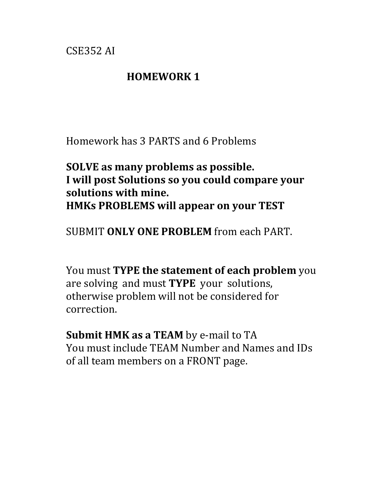CSE352 AI

#### **HOMEWORK 1**

Homework has 3 PARTS and 6 Problems

### **SOLVE** as many problems as possible. **I** will post Solutions so you could compare your solutions with mine. **HMKs PROBLEMS will appear on your TEST**

**SUBMIT ONLY ONE PROBLEM** from each PART.

You must TYPE the statement of each problem you are solving and must **TYPE** your solutions, otherwise problem will not be considered for correction.

**Submit HMK as a TEAM** by e-mail to TA You must include TEAM Number and Names and IDs of all team members on a FRONT page.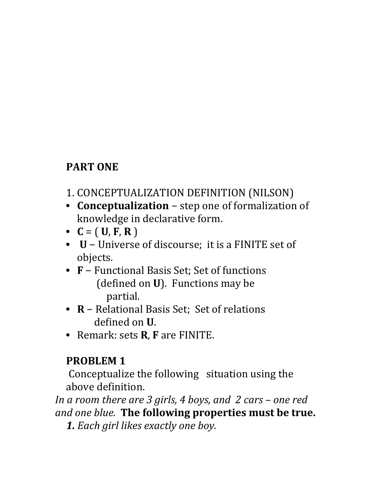# **PART ONE**

- 1. CONCEPTUALIZATION DEFINITION (NILSON)
- **Conceptualization** step one of formalization of knowledge in declarative form.
- $C = (U, F, R)$
- **U** − Universe of discourse; it is a FINITE set of objects.
- **F** − Functional Basis Set; Set of functions (defined on **U**). Functions may be partial.
- **R** − Relational Basis Set; Set of relations defined on **U**.
- Remark: sets **R**, **F** are FINITE.

# **PROBLEM 1**

Conceptualize the following situation using the above definition.

*In a room there are 3 girls, 4 boys, and 2 cars – one red and one blue.* The following properties must be true.

**1.** Each girl likes exactly one boy.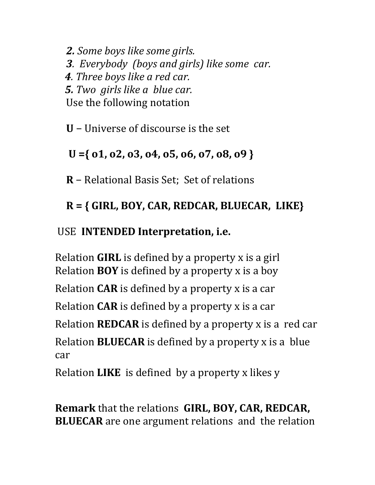**2.** *Some boys like some girls.* **3***.* Everybody (boys and girls) like some car. **4***.* Three boys like a red car.  *5. Two girls like a blue car.* Use the following notation

**U** − Universe of discourse is the set

### $U = \{ 01, 02, 03, 04, 05, 06, 07, 08, 09 \}$

**R** − Relational Basis Set; Set of relations

# **R = { GIRL, BOY, CAR, REDCAR, BLUECAR, LIKE}**

### USE **INTENDED Interpretation, i.e.**

Relation **GIRL** is defined by a property x is a girl **Relation BOY** is defined by a property x is a boy

Relation  $CAR$  is defined by a property  $x$  is a car

**Relation CAR** is defined by a property x is a car

**Relation REDCAR** is defined by a property x is a red car

Relation **BLUECAR** is defined by a property x is a blue car

**Relation LIKE** is defined by a property x likes y

**Remark** that the relations **GIRL, BOY, CAR, REDCAR, BLUECAR** are one argument relations and the relation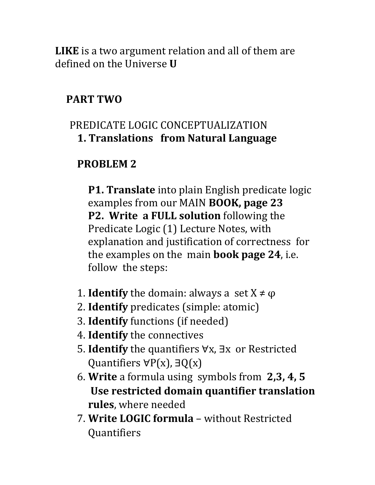**LIKE** is a two argument relation and all of them are defined on the Universe **U** 

### **PART TWO**

### PREDICATE LOGIC CONCEPTUALIZATION **1. Translations from Natural Language**

### **PROBLEM 2**

**P1. Translate** into plain English predicate logic examples from our MAIN **BOOK**, page 23 **P2.** Write a FULL solution following the Predicate Logic (1) Lecture Notes, with explanation and justification of correctness for the examples on the main **book** page 24, i.e. follow the steps:

- 1. **Identify** the domain: always a set  $X \neq \varphi$
- 2. **Identify** predicates (simple: atomic)
- **3. Identify** functions (if needed)
- 4. **Identify** the connectives
- 5. **Identify** the quantifiers ∀x, ∃x or Restricted Quantifiers  $\forall P(x)$ ,  $\exists Q(x)$
- 6. **Write** a formula using symbols from 2,3, 4, 5 Use restricted domain quantifier translation **rules**, where needed
- 7. Write LOGIC formula without Restricted Quantifiers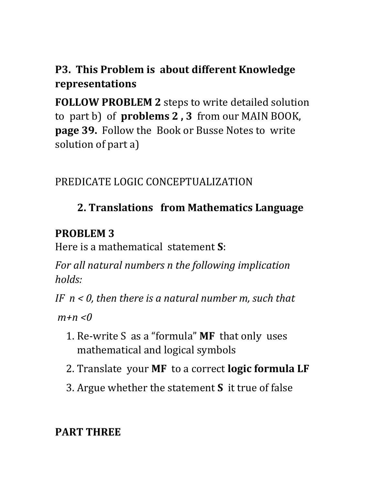# **P3.** This Problem is about different Knowledge **representations**

**FOLLOW PROBLEM 2** steps to write detailed solution to part b) of **problems 2, 3** from our MAIN BOOK, **page 39.** Follow the Book or Busse Notes to write solution of part a)

# PREDICATE LOGIC CONCEPTUALIZATION

# **2. Translations from Mathematics Language**

### **PROBLEM 3**

Here is a mathematical statement **S**:

*For all natural numbers n the following implication holds:*

*IF*  $n < 0$ , then there is a natural number m, such that

 $m+n < 0$ 

- 1. Re-write S as a "formula" **MF** that only uses mathematical and logical symbols
- 2. Translate your MF to a correct **logic formula LF**
- **3.** Argue whether the statement **S** it true of false

# **PART THREE**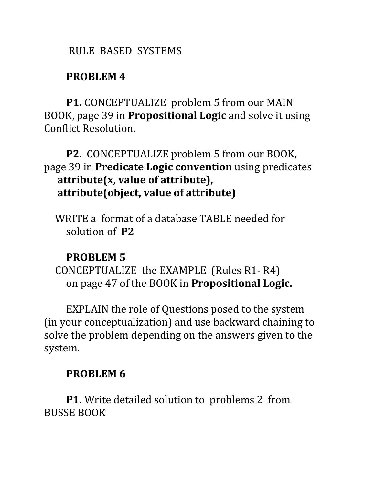#### RULE BASED SYSTEMS

#### **PROBLEM 4**

**P1.** CONCEPTUALIZE problem 5 from our MAIN BOOK, page 39 in **Propositional Logic** and solve it using Conflict Resolution.

### P2. CONCEPTUALIZE problem 5 from our BOOK, page 39 in **Predicate Logic convention** using predicates attribute(x, value of attribute), attribute(object, value of attribute)

WRITE a format of a database TABLE needed for solution of P2

### **PROBLEM 5**

CONCEPTUALIZE the EXAMPLE (Rules  $R1-R4$ ) on page 47 of the BOOK in **Propositional Logic.** 

EXPLAIN the role of Questions posed to the system (in your conceptualization) and use backward chaining to solve the problem depending on the answers given to the system.

### **PROBLEM 6**

**P1.** Write detailed solution to problems 2 from **BUSSE BOOK**